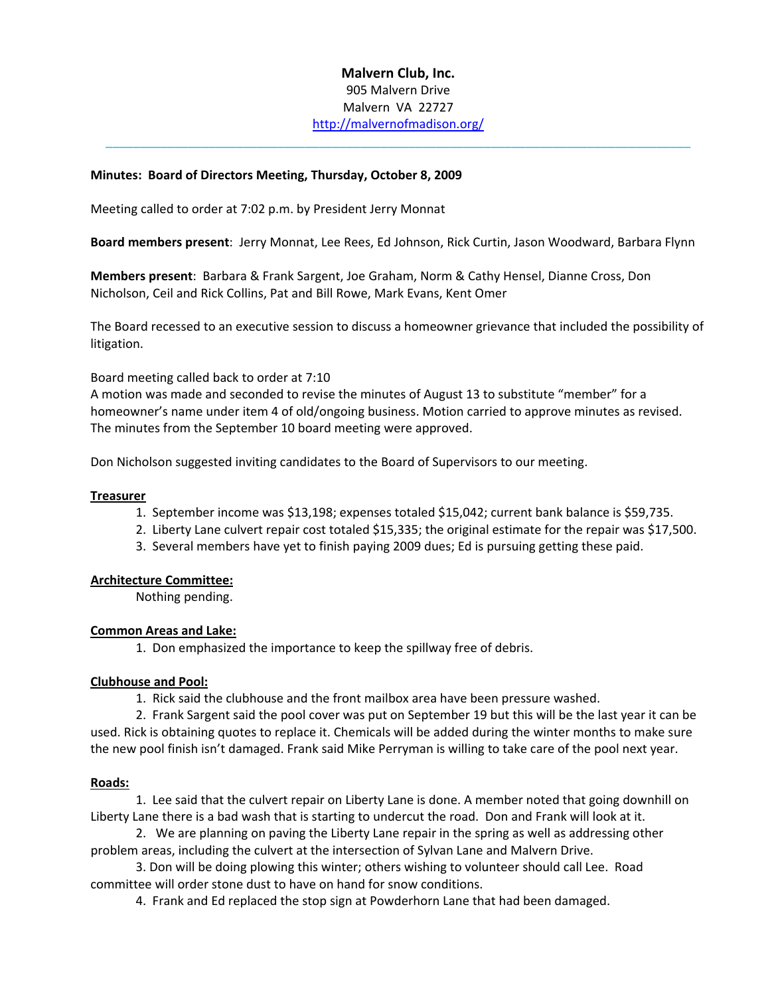# **Malvern Club, Inc.** 905 Malvern Drive Malvern VA 22727 <http://malvernofmadison.org/>

\_\_\_\_\_\_\_\_\_\_\_\_\_\_\_\_\_\_\_\_\_\_\_\_\_\_\_\_\_\_\_\_\_\_\_\_\_\_\_\_\_\_\_\_\_\_\_\_\_\_\_\_\_\_\_\_\_\_\_\_\_\_\_\_\_\_\_\_\_\_\_\_\_\_\_\_\_\_\_\_\_\_\_\_\_

## **Minutes: Board of Directors Meeting, Thursday, October 8, 2009**

Meeting called to order at 7:02 p.m. by President Jerry Monnat

**Board members present**: Jerry Monnat, Lee Rees, Ed Johnson, Rick Curtin, Jason Woodward, Barbara Flynn

**Members present**: Barbara & Frank Sargent, Joe Graham, Norm & Cathy Hensel, Dianne Cross, Don Nicholson, Ceil and Rick Collins, Pat and Bill Rowe, Mark Evans, Kent Omer

The Board recessed to an executive session to discuss a homeowner grievance that included the possibility of litigation.

Board meeting called back to order at 7:10

A motion was made and seconded to revise the minutes of August 13 to substitute "member" for a homeowner's name under item 4 of old/ongoing business. Motion carried to approve minutes as revised. The minutes from the September 10 board meeting were approved.

Don Nicholson suggested inviting candidates to the Board of Supervisors to our meeting.

## **Treasurer**

- 1. September income was \$13,198; expenses totaled \$15,042; current bank balance is \$59,735.
- 2. Liberty Lane culvert repair cost totaled \$15,335; the original estimate for the repair was \$17,500.
- 3. Several members have yet to finish paying 2009 dues; Ed is pursuing getting these paid.

#### **Architecture Committee:**

Nothing pending.

#### **Common Areas and Lake:**

1. Don emphasized the importance to keep the spillway free of debris.

#### **Clubhouse and Pool:**

1. Rick said the clubhouse and the front mailbox area have been pressure washed.

2. Frank Sargent said the pool cover was put on September 19 but this will be the last year it can be used. Rick is obtaining quotes to replace it. Chemicals will be added during the winter months to make sure the new pool finish isn't damaged. Frank said Mike Perryman is willing to take care of the pool next year.

#### **Roads:**

1. Lee said that the culvert repair on Liberty Lane is done. A member noted that going downhill on Liberty Lane there is a bad wash that is starting to undercut the road. Don and Frank will look at it.

2. We are planning on paving the Liberty Lane repair in the spring as well as addressing other problem areas, including the culvert at the intersection of Sylvan Lane and Malvern Drive.

3. Don will be doing plowing this winter; others wishing to volunteer should call Lee. Road committee will order stone dust to have on hand for snow conditions.

4. Frank and Ed replaced the stop sign at Powderhorn Lane that had been damaged.